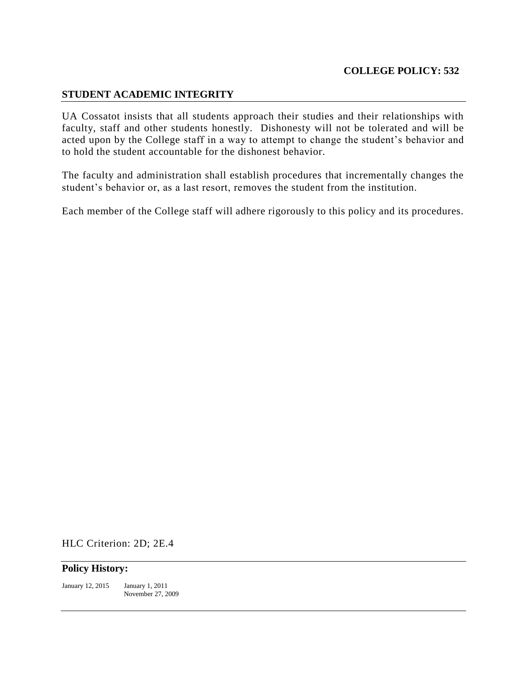## **STUDENT ACADEMIC INTEGRITY**

UA Cossatot insists that all students approach their studies and their relationships with faculty, staff and other students honestly. Dishonesty will not be tolerated and will be acted upon by the College staff in a way to attempt to change the student's behavior and to hold the student accountable for the dishonest behavior.

The faculty and administration shall establish procedures that incrementally changes the student's behavior or, as a last resort, removes the student from the institution.

Each member of the College staff will adhere rigorously to this policy and its procedures.

HLC Criterion: 2D; 2E.4

## **Policy History:**

January 12, 2015 January 1, 2011 November 27, 2009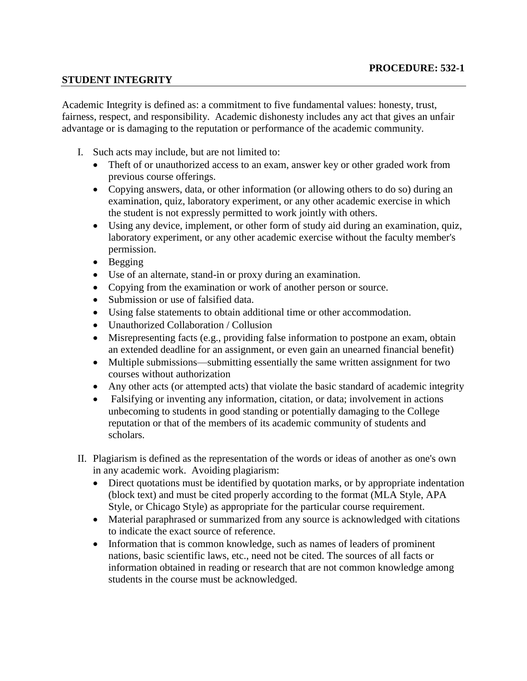## **STUDENT INTEGRITY**

Academic Integrity is defined as: a commitment to five fundamental values: honesty, trust, fairness, respect, and responsibility. Academic dishonesty includes any act that gives an unfair advantage or is damaging to the reputation or performance of the academic community.

- I. Such acts may include, but are not limited to:
	- Theft of or unauthorized access to an exam, answer key or other graded work from previous course offerings.
	- Copying answers, data, or other information (or allowing others to do so) during an examination, quiz, laboratory experiment, or any other academic exercise in which the student is not expressly permitted to work jointly with others.
	- Using any device, implement, or other form of study aid during an examination, quiz, laboratory experiment, or any other academic exercise without the faculty member's permission.
	- $\bullet$  Begging
	- Use of an alternate, stand-in or proxy during an examination.
	- Copying from the examination or work of another person or source.
	- Submission or use of falsified data.
	- Using false statements to obtain additional time or other accommodation.
	- Unauthorized Collaboration / Collusion
	- Misrepresenting facts (e.g., providing false information to postpone an exam, obtain an extended deadline for an assignment, or even gain an unearned financial benefit)
	- Multiple submissions—submitting essentially the same written assignment for two courses without authorization
	- Any other acts (or attempted acts) that violate the basic standard of academic integrity
	- Falsifying or inventing any information, citation, or data; involvement in actions unbecoming to students in good standing or potentially damaging to the College reputation or that of the members of its academic community of students and scholars.
- II. Plagiarism is defined as the representation of the words or ideas of another as one's own in any academic work. Avoiding plagiarism:
	- Direct quotations must be identified by quotation marks, or by appropriate indentation (block text) and must be cited properly according to the format (MLA Style, APA Style, or Chicago Style) as appropriate for the particular course requirement.
	- Material paraphrased or summarized from any source is acknowledged with citations to indicate the exact source of reference.
	- Information that is common knowledge, such as names of leaders of prominent nations, basic scientific laws, etc., need not be cited. The sources of all facts or information obtained in reading or research that are not common knowledge among students in the course must be acknowledged.